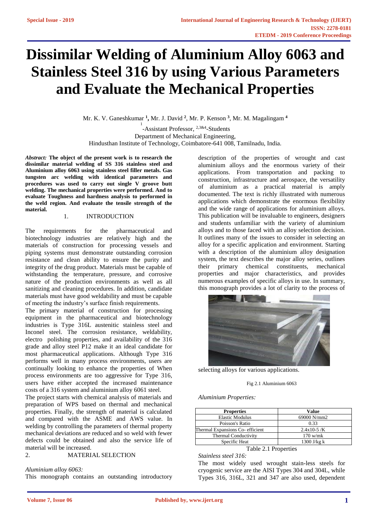# **Dissimilar Welding of Aluminium Alloy 6063 and Stainless Steel 316 by using Various Parameters and Evaluate the Mechanical Properties**

Mr. K. V. Ganeshkumar **<sup>1</sup> ,** Mr. J. David **<sup>2</sup>** , Mr. P. Kenson **<sup>3</sup>** , Mr. M. Magalingam **<sup>4</sup>**

<sup>1</sup>-Assistant Professor, <sup>2,3&4</sup>-Students Department of Mechanical Engineering, Hindusthan Institute of Technology, Coimbatore-641 008, Tamilnadu, India.

*Abstract:* **The object of the present work is to research the dissimilar material welding of SS 316 stainless steel and Aluminium alloy 6063 using stainless steel filler metals. Gas tungsten arc welding with identical parameters and procedures was used to carry out single V groove butt welding. The mechanical properties were performed. And to evaluate Toughness and hardness analysis to performed in the weld region. And evaluate the tensile strength of the material.**

#### 1. INTRODUCTION

The requirements for the pharmaceutical and biotechnology industries are relatively high and the materials of construction for processing vessels and piping systems must demonstrate outstanding corrosion resistance and clean ability to ensure the purity and integrity of the drug product. Materials must be capable of withstanding the temperature, pressure, and corrosive nature of the production environments as well as all sanitizing and cleaning procedures. In addition, candidate materials must have good weldability and must be capable of meeting the industry's surface finish requirements.

The primary material of construction for processing equipment in the pharmaceutical and biotechnology industries is Type 316L austenitic stainless steel and Inconel steel. The corrosion resistance, weldability, electro polishing properties, and availability of the 316 grade and alloy steel P12 make it an ideal candidate for most pharmaceutical applications. Although Type 316 performs well in many process environments, users are continually looking to enhance the properties of When process environments are too aggressive for Type 316, users have either accepted the increased maintenance costs of a 316 system and aluminium alloy 6061 steel.

The project starts with chemical analysis of materials and preparation of WPS based on thermal and mechanical properties. Finally, the strength of material is calculated and compared with the ASME and AWS value. In welding by controlling the parameters of thermal property mechanical deviations are reduced and so weld with fewer defects could be obtained and also the service life of material will be increased.

# 2. MATERIAL SELECTION

*Aluminium alloy 6063:*

This monograph contains an outstanding introductory

description of the properties of wrought and cast aluminium alloys and the enormous variety of their applications. From transportation and packing to construction, infrastructure and aerospace, the versatility of aluminium as a practical material is amply documented. The text is richly illustrated with numerous applications which demonstrate the enormous flexibility and the wide range of applications for aluminium alloys. This publication will be invaluable to engineers, designers and students unfamiliar with the variety of aluminium alloys and to those faced with an alloy selection decision. It outlines many of the issues to consider in selecting an alloy for a specific application and environment. Starting with a description of the aluminium alloy designation system, the text describes the major alloy series, outlines their primary chemical constituents, mechanical properties and major characteristics, and provides numerous examples of specific alloys in use. In summary, this monograph provides a lot of clarity to the process of



selecting alloys for various applications.

#### Fig 2.1 Aluminium 6063

*Aluminium Properties:*

| <b>Properties</b>               | Value         |
|---------------------------------|---------------|
| <b>Elastic Modulus</b>          | 69000 N/mm2   |
| Poisson's Ratio                 | 0.33          |
| Thermal Expansions Co-efficient | $2.4x10-5/K$  |
| <b>Thermal Conductivity</b>     | $170$ w/mk    |
| Specific Heat                   | 1300 J/kg $k$ |

Table 2.1 Properties

*Stainless steel 316:*

The most widely used wrought stain-less steels for cryogenic service are the AISI Types 304 and 304L, while Types 316, 316L, 321 and 347 are also used, dependent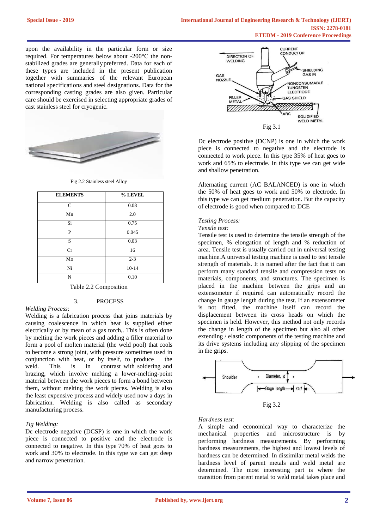upon the availability in the particular form or size required. For temperatures below about -200°C the nonstabilized grades are generallypreferred. Data for each of these types are included in the present publication together with summaries of the relevant European national specifications and steel designations. Data for the corresponding casting grades are also given. Particular care should be exercised in selecting appropriate grades of cast stainless steel for cryogenic.



Fig 2.2 Stainless steel Alloy

| <b>ELEMENTS</b> | % LEVEL   |
|-----------------|-----------|
| $\mathsf{C}$    | 0.08      |
| Mn              | 2.0       |
| Si              | 0.75      |
| P               | 0.045     |
| S               | 0.03      |
| Cr              | 16        |
| Mo              | $2 - 3$   |
| Ni              | $10 - 14$ |
| N               | 0.10      |

# Table 2.2 Composition 3. PROCESS

#### *Welding Process:*

Welding is [a fabrication process t](http://en.wikipedia.org/wiki/Fabrication_(metal))hat joins materials by caus[ing coalescence in w](http://en.wiktionary.org/wiki/coalesce)hich heat is supplied either electrically or by mean of a gas torch,. This is often done by melting the work pieces and adding a filler material to form a pool of molten material (the [weld pool\)](http://en.wikipedia.org/wiki/Weld_pool) that cools to become a strong joint, with pressure sometimes used in conjunction with [heat,](http://en.wikipedia.org/wiki/Heat) or by itself, to produce the weld. This is in contrast [with soldering and](http://en.wikipedia.org/wiki/Brazing)  [brazing, which i](http://en.wikipedia.org/wiki/Brazing)nvolve melting a lower-melting-point material between the work pieces to form a bond between them, without melting the work pieces. Welding is also the least expensive process and widely used now a days in fabrication. Welding is also called as secondary manufacturing process.

# *Tig Welding:*

Dc electrode negative (DCSP) is one in which the work piece is connected to positive and the electrode is connected to negative. In this type 70% of heat goes to work and 30% to electrode. In this type we can get deep and narrow penetration.



Dc electrode positive (DCNP) is one in which the work piece is connected to negative and the electrode is connected to work piece. In this type 35% of heat goes to work and 65% to electrode. In this type we can get wide and shallow penetration.

Alternating current (AC BALANCED) is one in which the 50% of heat goes to work and 50% to electrode. In this type we can get medium penetration. But the capacity of electrode is good when compared to DCE

# *Testing Process:*

# *Tensile test:*

Tensile test is used to determine the tensile strength of the specimen, % elongation of length and % reduction of area. Tensile test is usually carried out in universal testing machine.A universal testing machine is used to test tensile strength of materials. It is named after the fact that it can perform many standard tensile and compression tests on materials, components, and structures. The specimen is placed in the machine between the grips and an extensometer if required can automatically record the change in gauge length during the test. If an extensometer is not fitted, the machine itself can record the displacement between its cross heads on which the specimen is held. However, this method not only records the change in length of the specimen but also all other extending / elastic components of the testing machine and its drive systems including any slipping of the specimen in the grips.



Fig 3.2

# *Hardness test:*

A simple and economical way to characterize the mechanical properties and microstructure is by performing hardness measurements. By performing hardness measurements, the highest and lowest levels of hardness can be determined. In dissimilar metal welds the hardness level of parent metals and weld metal are determined. The most interesting part is where the transition from parent metal to weld metal takes place and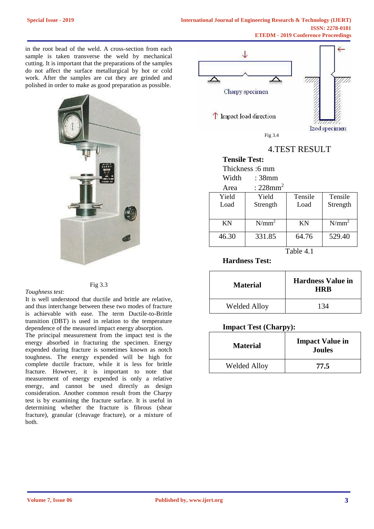in the root bead of the weld. A cross-section from each sample is taken transverse the weld by mechanical cutting. It is important that the preparations of the samples do not affect the surface metallurgical by hot or cold work. After the samples are cut they are grinded and polished in order to make as good preparation as possible.



# Fig 3.3

*Toughness test:*

It is well understood that ductile and brittle are relative, and thus interchange between these two modes of fracture is achievable with ease. The term Ductile-to-Brittle transition (DBT) is used in relation to the temperature dependence of the measured impact energy absorption.

The principal measurement from the impact test is the energy absorbed in fracturing the specimen. Energy expended during fracture is sometimes known as notch toughness. The energy expended will be high for complete ductile fracture, while it is less for brittle fracture. However, it is important to note that measurement of energy expended is only a relative energy, and cannot be used directly as design consideration. Another common result from the Charpy test is by examining the fracture surface. It is useful in determining whether the fracture is fibrous (shear fracture), granular (cleavage fracture), or a mixture of both.



4.TEST RESULT

| <b>Tensile Test:</b> |                         |           |          |  |  |
|----------------------|-------------------------|-----------|----------|--|--|
|                      | Thickness: 6 mm         |           |          |  |  |
| Width                | : 38mm                  |           |          |  |  |
| Area                 | : $228$ mm <sup>2</sup> |           |          |  |  |
| Yield                | Yield                   | Tensile   | Tensile  |  |  |
| Load                 | Strength                | Load      | Strength |  |  |
|                      |                         |           |          |  |  |
| KN                   | $N/mm^2$                | <b>KN</b> | $N/mm^2$ |  |  |
| 46.30                | 331.85                  | 64.76     | 529.40   |  |  |

Table 4.1

**Hardness Test:**

| <b>Material</b>     | <b>Hardness Value in</b><br><b>HRR</b> |
|---------------------|----------------------------------------|
| <b>Welded Alloy</b> | 134                                    |

# **Impact Test (Charpy):**

| <b>Material</b>     | <b>Impact Value in</b><br><b>Joules</b> |
|---------------------|-----------------------------------------|
| <b>Welded Alloy</b> | 77.5                                    |